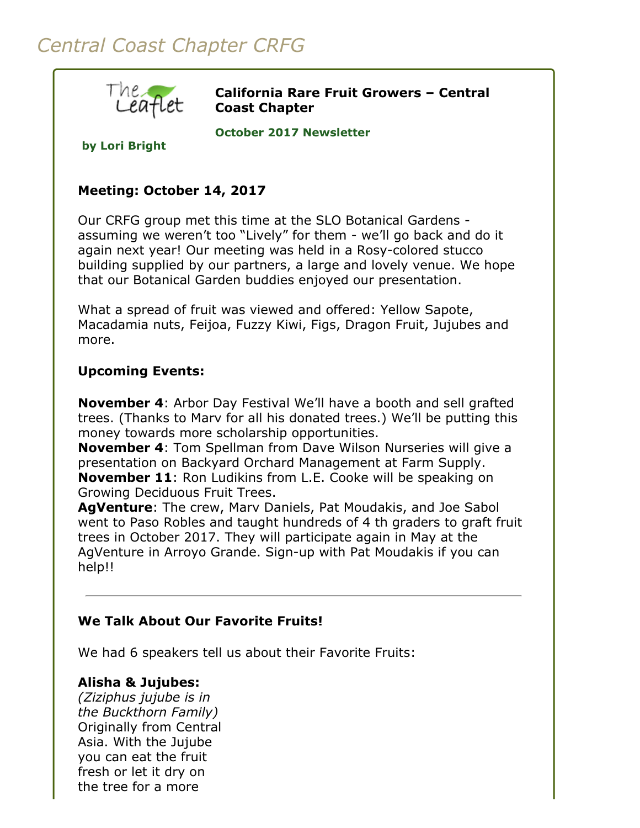# *Central Coast Chapter CRFG*



**California Rare Fruit Growers – Central Coast Chapter**

**October 2017 Newsletter** 

**by Lori Bright**

# **Meeting: October 14, 2017**

Our CRFG group met this time at the SLO Botanical Gardens assuming we weren't too "Lively" for them - we'll go back and do it again next year! Our meeting was held in a Rosy-colored stucco building supplied by our partners, a large and lovely venue. We hope that our Botanical Garden buddies enjoyed our presentation.

What a spread of fruit was viewed and offered: Yellow Sapote, Macadamia nuts, Feijoa, Fuzzy Kiwi, Figs, Dragon Fruit, Jujubes and more.

## **Upcoming Events:**

**November 4**: Arbor Day Festival We'll have a booth and sell grafted trees. (Thanks to Marv for all his donated trees.) We'll be putting this money towards more scholarship opportunities.

**November 4**: Tom Spellman from Dave Wilson Nurseries will give a presentation on Backyard Orchard Management at Farm Supply. **November 11**: Ron Ludikins from L.E. Cooke will be speaking on Growing Deciduous Fruit Trees.

**AgVenture**: The crew, Marv Daniels, Pat Moudakis, and Joe Sabol went to Paso Robles and taught hundreds of 4 th graders to graft fruit trees in October 2017. They will participate again in May at the AgVenture in Arroyo Grande. Sign-up with Pat Moudakis if you can help!!

### **We Talk About Our Favorite Fruits!**

We had 6 speakers tell us about their Favorite Fruits:

### **Alisha & Jujubes:**

*(Ziziphus jujube is in the Buckthorn Family)* Originally from Central Asia. With the Jujube you can eat the fruit fresh or let it dry on the tree for a more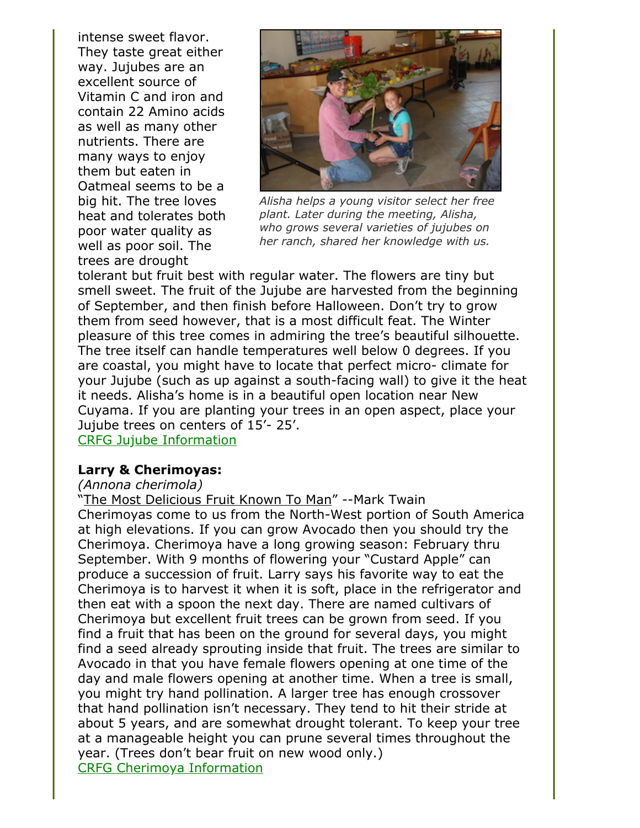intense sweet flavor. They taste great either way. Jujubes are an excellent source of Vitamin C and iron and contain 22 Amino acids as well as many other nutrients. There are many ways to enjoy them but eaten in Oatmeal seems to be a big hit. The tree loves heat and tolerates both poor water quality as well as poor soil. The trees are drought



*Alisha helps a young visitor select her free plant. Later during the meeting, Alisha, who grows several varieties of jujubes on her ranch, shared her knowledge with us.*

tolerant but fruit best with regular water. The flowers are tiny but smell sweet. The fruit of the Jujube are harvested from the beginning of September, and then finish before Halloween. Don't try to grow them from seed however, that is a most difficult feat. The Winter pleasure of this tree comes in admiring the tree's beautiful silhouette. The tree itself can handle temperatures well below 0 degrees. If you are coastal, you might have to locate that perfect micro- climate for your Jujube (such as up against a south-facing wall) to give it the heat it needs. Alisha's home is in a beautiful open location near New Cuyama. If you are planting your trees in an open aspect, place your Jujube trees on centers of 15'- 25'.

[CRFG Jujube Information](https://www.crfg.org/pubs/ff/jujube.html)

### **Larry & Cherimoyas:**

### *(Annona cherimola)*

"The Most Delicious Fruit Known To Man" --Mark Twain Cherimoyas come to us from the North-West portion of South America at high elevations. If you can grow Avocado then you should try the Cherimoya. Cherimoya have a long growing season: February thru September. With 9 months of flowering your "Custard Apple" can produce a succession of fruit. Larry says his favorite way to eat the Cherimoya is to harvest it when it is soft, place in the refrigerator and then eat with a spoon the next day. There are named cultivars of Cherimoya but excellent fruit trees can be grown from seed. If you find a fruit that has been on the ground for several days, you might find a seed already sprouting inside that fruit. The trees are similar to Avocado in that you have female flowers opening at one time of the day and male flowers opening at another time. When a tree is small, you might try hand pollination. A larger tree has enough crossover that hand pollination isn't necessary. They tend to hit their stride at about 5 years, and are somewhat drought tolerant. To keep your tree at a manageable height you can prune several times throughout the year. (Trees don't bear fruit on new wood only.) [CRFG Cherimoya Information](https://www.crfg.org/pubs/ff/cherimoya.html)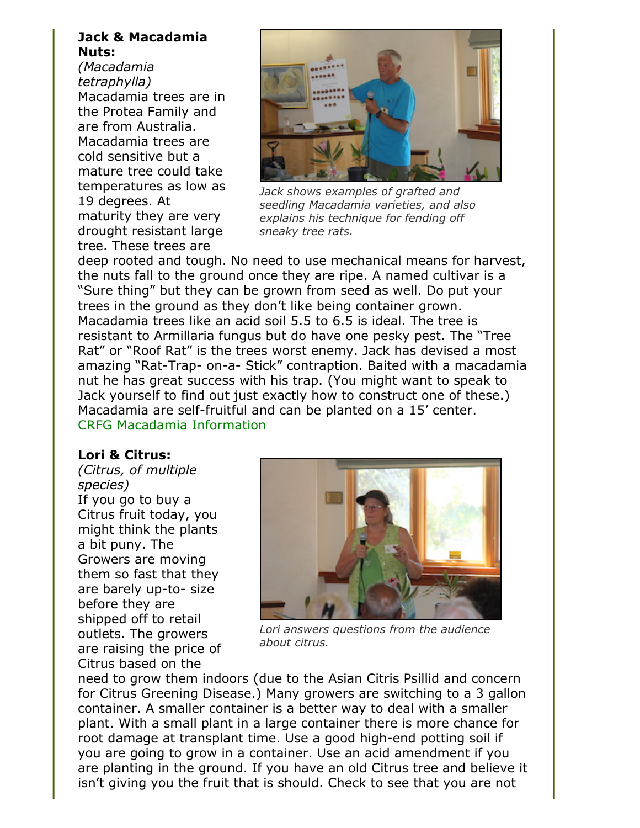#### **Jack & Macadamia Nuts:**

*(Macadamia tetraphylla)* Macadamia trees are in the Protea Family and are from Australia. Macadamia trees are cold sensitive but a mature tree could take temperatures as low as 19 degrees. At maturity they are very drought resistant large tree. These trees are



*Jack shows examples of grafted and seedling Macadamia varieties, and also explains his technique for fending off sneaky tree rats.*

deep rooted and tough. No need to use mechanical means for harvest, the nuts fall to the ground once they are ripe. A named cultivar is a "Sure thing" but they can be grown from seed as well. Do put your trees in the ground as they don't like being container grown. Macadamia trees like an acid soil 5.5 to 6.5 is ideal. The tree is resistant to Armillaria fungus but do have one pesky pest. The "Tree Rat" or "Roof Rat" is the trees worst enemy. Jack has devised a most amazing "Rat-Trap- on-a- Stick" contraption. Baited with a macadamia nut he has great success with his trap. (You might want to speak to Jack yourself to find out just exactly how to construct one of these.) Macadamia are self-fruitful and can be planted on a 15' center. [CRFG Macadamia Information](https://www.crfg.org/pubs/ff/macadamia.html)

**Lori & Citrus:** *(Citrus, of multiple species)*  If you go to buy a Citrus fruit today, you might think the plants a bit puny. The Growers are moving them so fast that they are barely up-to- size before they are shipped off to retail outlets. The growers

are raising the price of Citrus based on the



*Lori answers questions from the audience about citrus.*

need to grow them indoors (due to the Asian Citris Psillid and concern for Citrus Greening Disease.) Many growers are switching to a 3 gallon container. A smaller container is a better way to deal with a smaller plant. With a small plant in a large container there is more chance for root damage at transplant time. Use a good high-end potting soil if you are going to grow in a container. Use an acid amendment if you are planting in the ground. If you have an old Citrus tree and believe it isn't giving you the fruit that is should. Check to see that you are not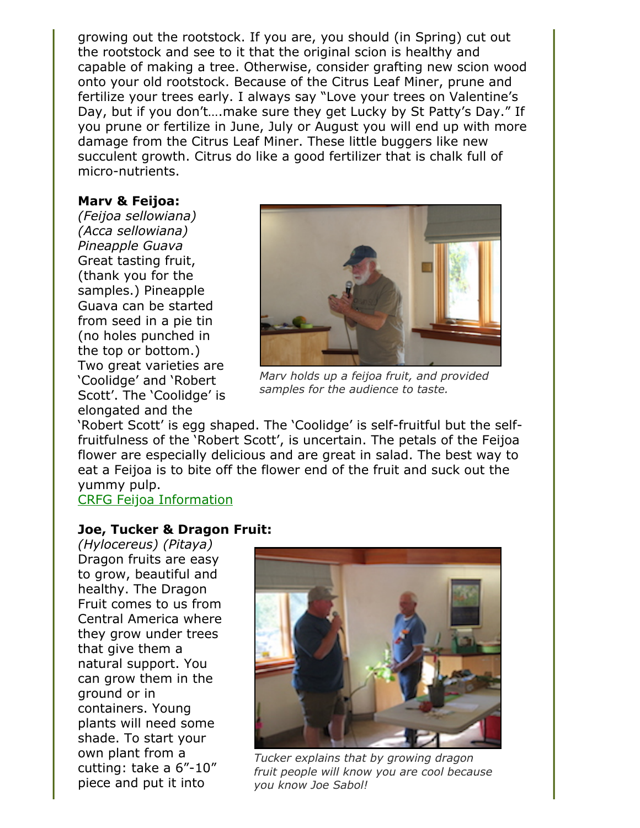growing out the rootstock. If you are, you should (in Spring) cut out the rootstock and see to it that the original scion is healthy and capable of making a tree. Otherwise, consider grafting new scion wood onto your old rootstock. Because of the Citrus Leaf Miner, prune and fertilize your trees early. I always say "Love your trees on Valentine's Day, but if you don't….make sure they get Lucky by St Patty's Day." If you prune or fertilize in June, July or August you will end up with more damage from the Citrus Leaf Miner. These little buggers like new succulent growth. Citrus do like a good fertilizer that is chalk full of micro-nutrients.

#### **Marv & Feijoa:**

*(Feijoa sellowiana) (Acca sellowiana) Pineapple Guava* Great tasting fruit, (thank you for the samples.) Pineapple Guava can be started from seed in a pie tin (no holes punched in the top or bottom.) Two great varieties are 'Coolidge' and 'Robert Scott'. The 'Coolidge' is elongated and the



*Marv holds up a feijoa fruit, and provided samples for the audience to taste.*

'Robert Scott' is egg shaped. The 'Coolidge' is self-fruitful but the selffruitfulness of the 'Robert Scott', is uncertain. The petals of the Feijoa flower are especially delicious and are great in salad. The best way to eat a Feijoa is to bite off the flower end of the fruit and suck out the yummy pulp.

[CRFG Feijoa Information](https://www.crfg.org/pubs/ff/feijoa.html)

#### **Joe, Tucker & Dragon Fruit:**

*(Hylocereus) (Pitaya)* Dragon fruits are easy to grow, beautiful and healthy. The Dragon Fruit comes to us from Central America where they grow under trees that give them a natural support. You can grow them in the ground or in containers. Young plants will need some shade. To start your own plant from a cutting: take a 6"-10" piece and put it into



*Tucker explains that by growing dragon fruit people will know you are cool because you know Joe Sabol!*